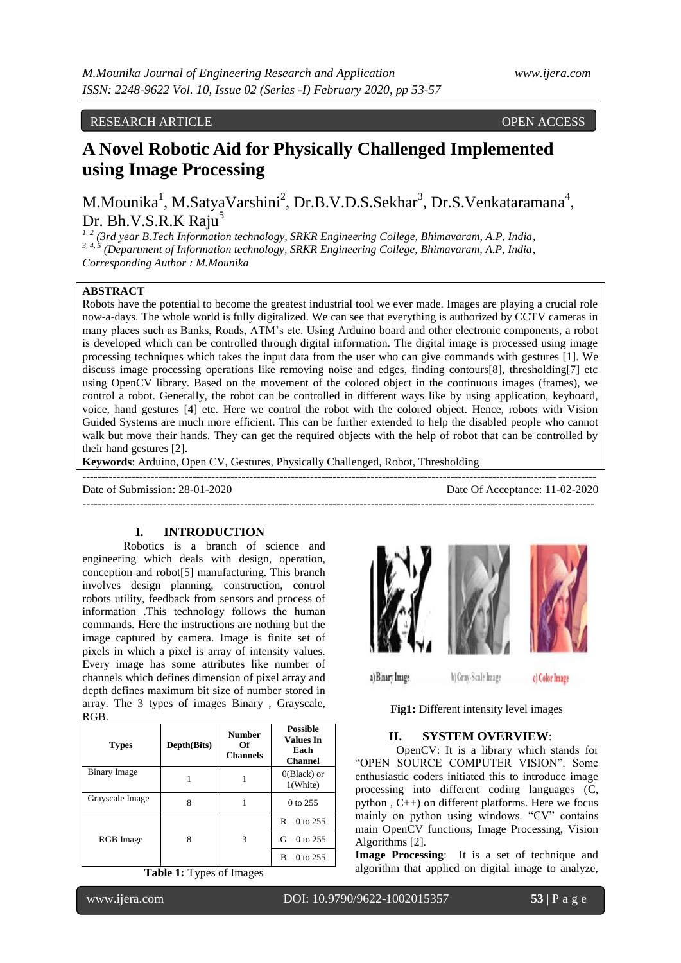## RESEARCH ARTICLE OPEN ACCESS

# **A Novel Robotic Aid for Physically Challenged Implemented using Image Processing**

M.Mounika<sup>1</sup>, M.SatyaVarshini<sup>2</sup>, Dr.B.V.D.S.Sekhar<sup>3</sup>, Dr.S.Venkataramana<sup>4</sup>, Dr. Bh.V.S.R.K Raju<sup>5</sup>

*1, 2 (3rd year B.Tech Information technology, SRKR Engineering College, Bhimavaram, A.P, India, 3, 4, 5 (Department of Information technology, SRKR Engineering College, Bhimavaram, A.P, India, Corresponding Author : M.Mounika*

#### **ABSTRACT**

Robots have the potential to become the greatest industrial tool we ever made. Images are playing a crucial role now-a-days. The whole world is fully digitalized. We can see that everything is authorized by CCTV cameras in many places such as Banks, Roads, ATM's etc. Using Arduino board and other electronic components, a robot is developed which can be controlled through digital information. The digital image is processed using image processing techniques which takes the input data from the user who can give commands with gestures [1]. We discuss image processing operations like removing noise and edges, finding contours[8], thresholding[7] etc using OpenCV library. Based on the movement of the colored object in the continuous images (frames), we control a robot. Generally, the robot can be controlled in different ways like by using application, keyboard, voice, hand gestures [4] etc. Here we control the robot with the colored object. Hence, robots with Vision Guided Systems are much more efficient. This can be further extended to help the disabled people who cannot walk but move their hands. They can get the required objects with the help of robot that can be controlled by their hand gestures [2].

-------------------------------------------------------------------------------------------------------------------------------------

**Keywords**: Arduino, Open CV, Gestures, Physically Challenged, Robot, Thresholding

---------------------------------------------------------------------------------------------------------------------------------------

Date of Submission: 28-01-2020 Date Of Acceptance: 11-02-2020

## **I. INTRODUCTION**

Robotics is a branch of science and engineering which deals with design, operation, conception and robot[5] manufacturing. This branch involves design planning, construction, control robots utility, feedback from sensors and process of information .This technology follows the human commands. Here the instructions are nothing but the image captured by camera. Image is finite set of pixels in which a pixel is array of intensity values. Every image has some attributes like number of channels which defines dimension of pixel array and depth defines maximum bit size of number stored in array. The 3 types of images Binary , Grayscale, RGB.

| <b>Types</b>    | Depth(Bits) | <b>Number</b><br>Of<br><b>Channels</b> | <b>Possible</b><br><b>Values In</b><br>Each<br><b>Channel</b> |
|-----------------|-------------|----------------------------------------|---------------------------------------------------------------|
| Binary Image    |             |                                        | $0$ (Black) or<br>1(White)                                    |
| Grayscale Image | 8           |                                        | 0 to 255                                                      |
|                 |             |                                        | $R - 0$ to 255                                                |
| RGB Image       | 8           | 3                                      | $G - 0$ to 255                                                |
|                 |             |                                        | $B - 0$ to 255                                                |

**Table 1:** Types of Images



**Fig1:** Different intensity level images

#### **II. SYSTEM OVERVIEW**:

OpenCV: It is a library which stands for "OPEN SOURCE COMPUTER VISION". Some enthusiastic coders initiated this to introduce image processing into different coding languages (C, python , C++) on different platforms. Here we focus mainly on python using windows. "CV" contains main OpenCV functions, Image Processing, Vision Algorithms [2].

**Image Processing**: It is a set of technique and algorithm that applied on digital image to analyze,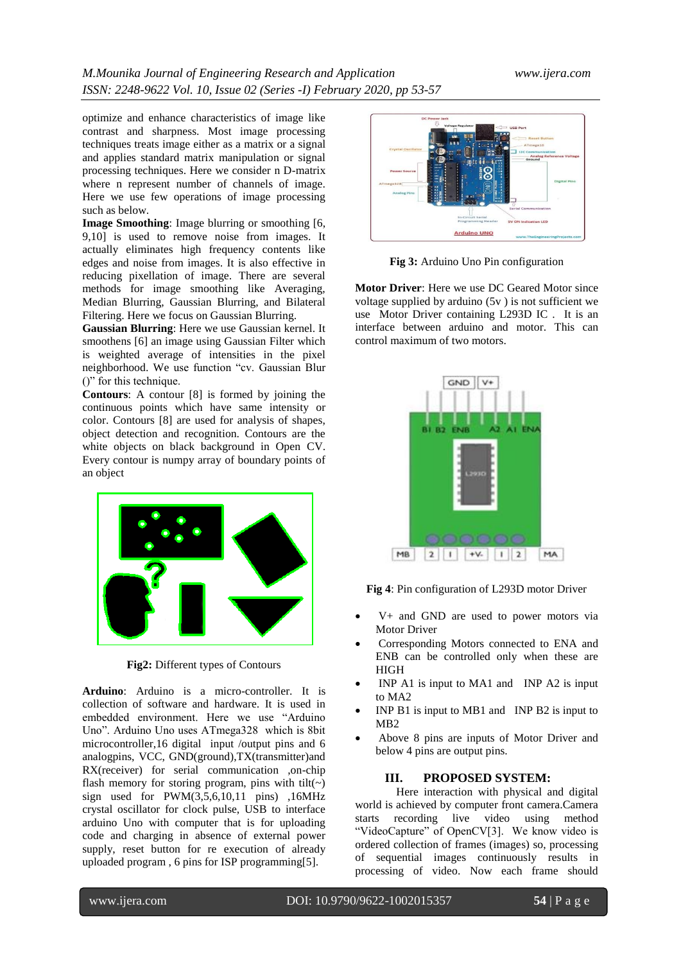optimize and enhance characteristics of image like contrast and sharpness. Most image processing techniques treats image either as a matrix or a signal and applies standard matrix manipulation or signal processing techniques. Here we consider n D-matrix where n represent number of channels of image. Here we use few operations of image processing such as below.

**Image Smoothing**: Image blurring or smoothing [6, 9,10] is used to remove noise from images. It actually eliminates high frequency contents like edges and noise from images. It is also effective in reducing pixellation of image. There are several methods for image smoothing like Averaging, Median Blurring, Gaussian Blurring, and Bilateral Filtering. Here we focus on Gaussian Blurring.

**Gaussian Blurring**: Here we use Gaussian kernel. It smoothens [6] an image using Gaussian Filter which is weighted average of intensities in the pixel neighborhood. We use function "cv. Gaussian Blur ()" for this technique.

**Contours**: A contour [8] is formed by joining the continuous points which have same intensity or color. Contours [8] are used for analysis of shapes, object detection and recognition. Contours are the white objects on black background in Open CV. Every contour is numpy array of boundary points of an object



**Fig2:** Different types of Contours

**Arduino**: Arduino is a micro-controller. It is collection of software and hardware. It is used in embedded environment. Here we use "Arduino Uno". Arduino Uno uses ATmega328 which is 8bit microcontroller,16 digital input /output pins and 6 analogpins, VCC, GND(ground),TX(transmitter)and RX(receiver) for serial communication ,on-chip flash memory for storing program, pins with tilt( $\sim$ ) sign used for PWM(3,5,6,10,11 pins) ,16MHz crystal oscillator for clock pulse, USB to interface arduino Uno with computer that is for uploading code and charging in absence of external power supply, reset button for re execution of already uploaded program , 6 pins for ISP programming[5].



**Fig 3:** Arduino Uno Pin configuration

**Motor Driver**: Here we use DC Geared Motor since voltage supplied by arduino (5v ) is not sufficient we use Motor Driver containing L293D IC . It is an interface between arduino and motor. This can control maximum of two motors.



**Fig 4**: Pin configuration of L293D motor Driver

- V+ and GND are used to power motors via Motor Driver
- Corresponding Motors connected to ENA and ENB can be controlled only when these are HIGH
- INP A1 is input to MA1 and INP A2 is input to MA2
- INP B1 is input to MB1 and INP B2 is input to MB2
- Above 8 pins are inputs of Motor Driver and below 4 pins are output pins.

## **III. PROPOSED SYSTEM:**

Here interaction with physical and digital world is achieved by computer front camera.Camera starts recording live video using method "VideoCapture" of OpenCV[3]. We know video is ordered collection of frames (images) so, processing of sequential images continuously results in processing of video. Now each frame should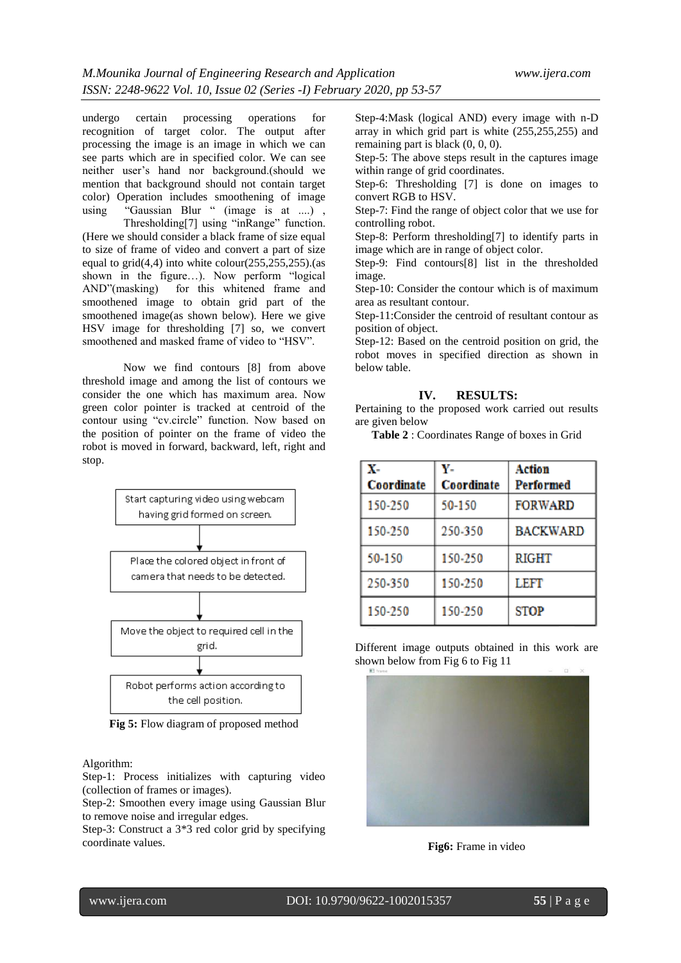undergo certain processing operations for recognition of target color. The output after processing the image is an image in which we can see parts which are in specified color. We can see neither user's hand nor background.(should we mention that background should not contain target color) Operation includes smoothening of image using "Gaussian Blur" (image is at ....),

Thresholding[7] using "inRange" function. (Here we should consider a black frame of size equal to size of frame of video and convert a part of size equal to  $grid(4,4)$  into white colour(255,255,255).(as shown in the figure…). Now perform "logical AND"(masking) for this whitened frame and smoothened image to obtain grid part of the smoothened image(as shown below). Here we give HSV image for thresholding [7] so, we convert smoothened and masked frame of video to "HSV".

Now we find contours [8] from above threshold image and among the list of contours we consider the one which has maximum area. Now green color pointer is tracked at centroid of the contour using "cv.circle" function. Now based on the position of pointer on the frame of video the robot is moved in forward, backward, left, right and stop.



**Fig 5:** Flow diagram of proposed method

#### Algorithm:

Step-1: Process initializes with capturing video (collection of frames or images).

Step-2: Smoothen every image using Gaussian Blur to remove noise and irregular edges.

Step-3: Construct a 3\*3 red color grid by specifying coordinate values.

Step-4:Mask (logical AND) every image with n-D array in which grid part is white (255,255,255) and remaining part is black (0, 0, 0).

Step-5: The above steps result in the captures image within range of grid coordinates.

Step-6: Thresholding [7] is done on images to convert RGB to HSV.

Step-7: Find the range of object color that we use for controlling robot.

Step-8: Perform thresholding[7] to identify parts in image which are in range of object color.

Step-9: Find contours[8] list in the thresholded image.

Step-10: Consider the contour which is of maximum area as resultant contour.

Step-11:Consider the centroid of resultant contour as position of object.

Step-12: Based on the centroid position on grid, the robot moves in specified direction as shown in below table.

### **IV. RESULTS:**

Pertaining to the proposed work carried out results are given below

**Table 2** : Coordinates Range of boxes in Grid

| X-<br>Coordinate | Y-<br>Coordinate | Action<br>Performed |
|------------------|------------------|---------------------|
| 150-250          | 50-150           | <b>FORWARD</b>      |
| 150-250          | 250-350          | <b>BACKWARD</b>     |
| 50-150           | 150-250          | RIGHT               |
| 250-350          | 150-250          | LEFT                |
| 150-250          | 150-250          | <b>STOP</b>         |

Different image outputs obtained in this work are shown below from Fig 6 to Fig 11



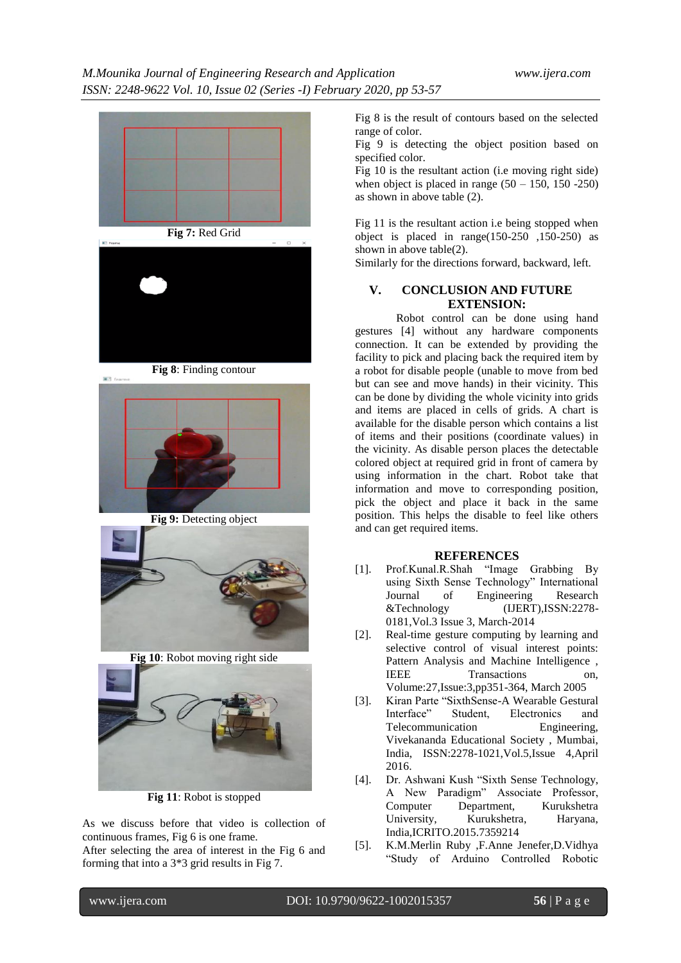



**Fig 8**: Finding contour

第3:4



**Fig 9:** Detecting object



**Fig 10**: Robot moving right side



**Fig 11**: Robot is stopped

As we discuss before that video is collection of continuous frames, Fig 6 is one frame.

After selecting the area of interest in the Fig 6 and forming that into a 3\*3 grid results in Fig 7.

Fig 8 is the result of contours based on the selected range of color.

Fig 9 is detecting the object position based on specified color.

Fig 10 is the resultant action (i.e moving right side) when object is placed in range  $(50 - 150, 150 - 250)$ as shown in above table (2).

Fig 11 is the resultant action i.e being stopped when object is placed in range(150-250 ,150-250) as shown in above table(2).

Similarly for the directions forward, backward, left.

## **V. CONCLUSION AND FUTURE EXTENSION:**

Robot control can be done using hand gestures [4] without any hardware components connection. It can be extended by providing the facility to pick and placing back the required item by a robot for disable people (unable to move from bed but can see and move hands) in their vicinity. This can be done by dividing the whole vicinity into grids and items are placed in cells of grids. A chart is available for the disable person which contains a list of items and their positions (coordinate values) in the vicinity. As disable person places the detectable colored object at required grid in front of camera by using information in the chart. Robot take that information and move to corresponding position, pick the object and place it back in the same position. This helps the disable to feel like others and can get required items.

## **REFERENCES**

- [1]. Prof.Kunal.R.Shah "Image Grabbing By using Sixth Sense Technology" International<br>Journal of Engineering Research of Engineering Research &Technology (IJERT),ISSN:2278- 0181,Vol.3 Issue 3, March-2014
- [2]. Real-time gesture computing by learning and selective control of visual interest points: Pattern Analysis and Machine Intelligence , IEEE Transactions on, Volume:27,Issue:3,pp351-364, March 2005
- [3]. Kiran Parte "SixthSense-A Wearable Gestural Interface" Student, Electronics and Telecommunication Engineering, Vivekananda Educational Society , Mumbai, India, ISSN:2278-1021,Vol.5,Issue 4,April 2016.
- [4]. Dr. Ashwani Kush "Sixth Sense Technology, A New Paradigm" Associate Professor, Computer Department, Kurukshetra University, Kurukshetra, Haryana, India,ICRITO.2015.7359214
- [5]. K.M.Merlin Ruby ,F.Anne Jenefer,D.Vidhya "Study of Arduino Controlled Robotic